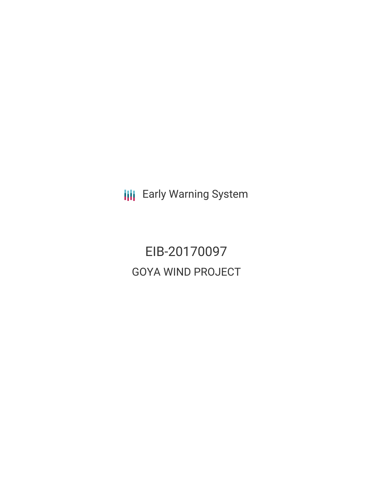**III** Early Warning System

EIB-20170097 GOYA WIND PROJECT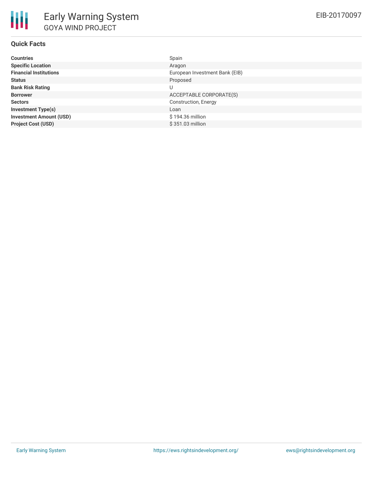| <b>Countries</b>               | Spain                          |
|--------------------------------|--------------------------------|
| <b>Specific Location</b>       | Aragon                         |
| <b>Financial Institutions</b>  | European Investment Bank (EIB) |
| <b>Status</b>                  | Proposed                       |
| <b>Bank Risk Rating</b>        | U                              |
| <b>Borrower</b>                | ACCEPTABLE CORPORATE(S)        |
| <b>Sectors</b>                 | <b>Construction, Energy</b>    |
| <b>Investment Type(s)</b>      | Loan                           |
| <b>Investment Amount (USD)</b> | \$194.36 million               |
| <b>Project Cost (USD)</b>      | \$351.03 million               |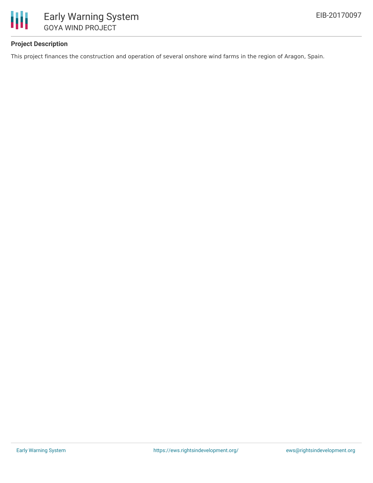

# **Project Description**

This project finances the construction and operation of several onshore wind farms in the region of Aragon, Spain.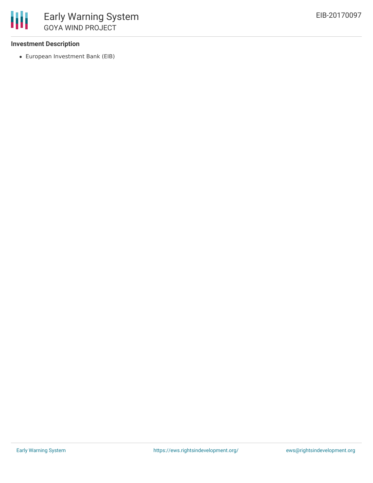### **Investment Description**

European Investment Bank (EIB)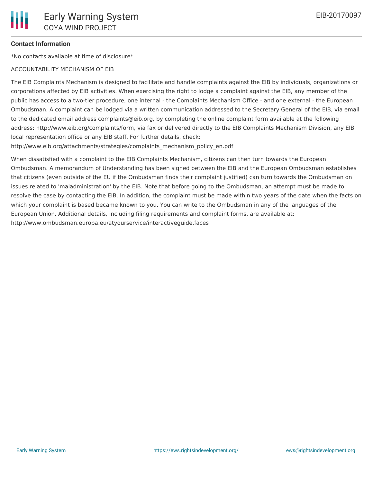# **Contact Information**

\*No contacts available at time of disclosure\*

#### ACCOUNTABILITY MECHANISM OF EIB

The EIB Complaints Mechanism is designed to facilitate and handle complaints against the EIB by individuals, organizations or corporations affected by EIB activities. When exercising the right to lodge a complaint against the EIB, any member of the public has access to a two-tier procedure, one internal - the Complaints Mechanism Office - and one external - the European Ombudsman. A complaint can be lodged via a written communication addressed to the Secretary General of the EIB, via email to the dedicated email address complaints@eib.org, by completing the online complaint form available at the following address: http://www.eib.org/complaints/form, via fax or delivered directly to the EIB Complaints Mechanism Division, any EIB local representation office or any EIB staff. For further details, check:

http://www.eib.org/attachments/strategies/complaints\_mechanism\_policy\_en.pdf

When dissatisfied with a complaint to the EIB Complaints Mechanism, citizens can then turn towards the European Ombudsman. A memorandum of Understanding has been signed between the EIB and the European Ombudsman establishes that citizens (even outside of the EU if the Ombudsman finds their complaint justified) can turn towards the Ombudsman on issues related to 'maladministration' by the EIB. Note that before going to the Ombudsman, an attempt must be made to resolve the case by contacting the EIB. In addition, the complaint must be made within two years of the date when the facts on which your complaint is based became known to you. You can write to the Ombudsman in any of the languages of the European Union. Additional details, including filing requirements and complaint forms, are available at: http://www.ombudsman.europa.eu/atyourservice/interactiveguide.faces